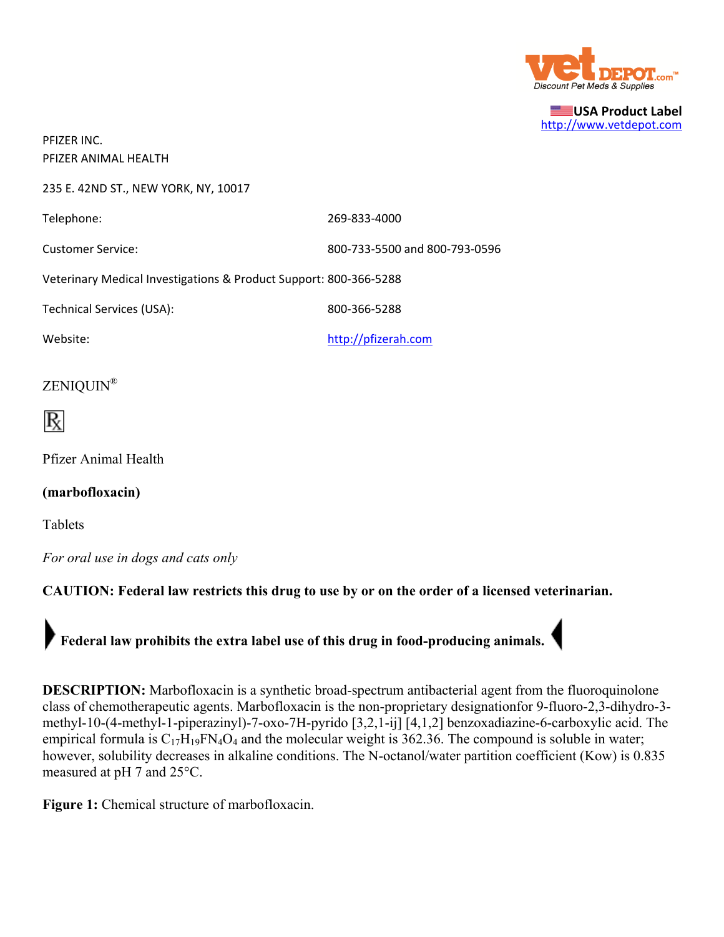

**USA Product Label** http://www.vetdepot.com

PFIZER INC. PFIZER ANIMAL HEALTH

235 E. 42ND ST., NEW YORK, NY, 10017

Telephone: 269-833-4000

Customer Service: 800‐733‐5500 and 800‐793‐0596

Veterinary Medical Investigations & Product Support: 800‐366‐5288

Technical Services (USA): 800-366-5288

Website: when the complete of the complete the complete of the complete the complete the complete the complete the complete the complete the complete the complete the complete the complete the complete the complete the com

## ZENIQUIN®



Pfizer Animal Health

**(marbofloxacin)**

Tablets

*For oral use in dogs and cats only*

**CAUTION: Federal law restricts this drug to use by or on the order of a licensed veterinarian.**

**Federal law prohibits the extra label use of this drug in food-producing animals.**

**DESCRIPTION:** Marbofloxacin is a synthetic broad-spectrum antibacterial agent from the fluoroquinolone class of chemotherapeutic agents. Marbofloxacin is the non-proprietary designationfor 9-fluoro-2,3-dihydro-3 methyl-10-(4-methyl-1-piperazinyl)-7-oxo-7H-pyrido [3,2,1-ij] [4,1,2] benzoxadiazine-6-carboxylic acid. The empirical formula is  $C_{17}H_{19}FN_4O_4$  and the molecular weight is 362.36. The compound is soluble in water; however, solubility decreases in alkaline conditions. The N-octanol/water partition coefficient (Kow) is 0.835 measured at pH 7 and 25°C.

**Figure 1:** Chemical structure of marbofloxacin.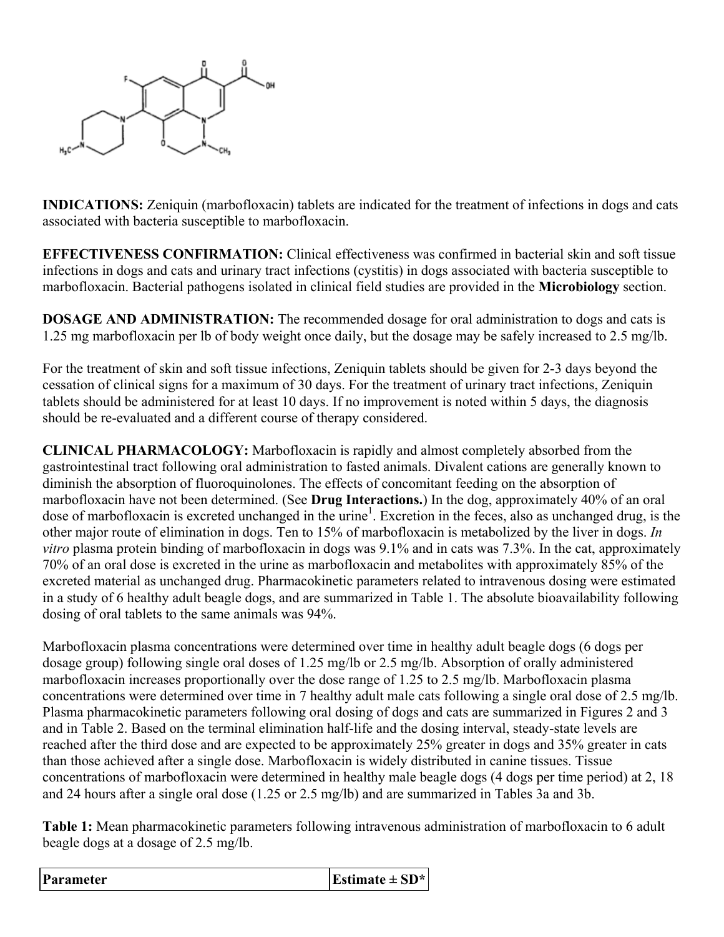

**INDICATIONS:** Zeniquin (marbofloxacin) tablets are indicated for the treatment of infections in dogs and cats associated with bacteria susceptible to marbofloxacin.

**EFFECTIVENESS CONFIRMATION:** Clinical effectiveness was confirmed in bacterial skin and soft tissue infections in dogs and cats and urinary tract infections (cystitis) in dogs associated with bacteria susceptible to marbofloxacin. Bacterial pathogens isolated in clinical field studies are provided in the **Microbiology** section.

**DOSAGE AND ADMINISTRATION:** The recommended dosage for oral administration to dogs and cats is 1.25 mg marbofloxacin per lb of body weight once daily, but the dosage may be safely increased to 2.5 mg/lb.

For the treatment of skin and soft tissue infections, Zeniquin tablets should be given for 2-3 days beyond the cessation of clinical signs for a maximum of 30 days. For the treatment of urinary tract infections, Zeniquin tablets should be administered for at least 10 days. If no improvement is noted within 5 days, the diagnosis should be re-evaluated and a different course of therapy considered.

**CLINICAL PHARMACOLOGY:** Marbofloxacin is rapidly and almost completely absorbed from the gastrointestinal tract following oral administration to fasted animals. Divalent cations are generally known to diminish the absorption of fluoroquinolones. The effects of concomitant feeding on the absorption of marbofloxacin have not been determined. (See **Drug Interactions.**) In the dog, approximately 40% of an oral dose of marbofloxacin is excreted unchanged in the urine<sup>1</sup>. Excretion in the feces, also as unchanged drug, is the other major route of elimination in dogs. Ten to 15% of marbofloxacin is metabolized by the liver in dogs. *In vitro* plasma protein binding of marbofloxacin in dogs was 9.1% and in cats was 7.3%. In the cat, approximately 70% of an oral dose is excreted in the urine as marbofloxacin and metabolites with approximately 85% of the excreted material as unchanged drug. Pharmacokinetic parameters related to intravenous dosing were estimated in a study of 6 healthy adult beagle dogs, and are summarized in Table 1. The absolute bioavailability following dosing of oral tablets to the same animals was 94%.

Marbofloxacin plasma concentrations were determined over time in healthy adult beagle dogs (6 dogs per dosage group) following single oral doses of 1.25 mg/lb or 2.5 mg/lb. Absorption of orally administered marbofloxacin increases proportionally over the dose range of 1.25 to 2.5 mg/lb. Marbofloxacin plasma concentrations were determined over time in 7 healthy adult male cats following a single oral dose of 2.5 mg/lb. Plasma pharmacokinetic parameters following oral dosing of dogs and cats are summarized in Figures 2 and 3 and in Table 2. Based on the terminal elimination half-life and the dosing interval, steady-state levels are reached after the third dose and are expected to be approximately 25% greater in dogs and 35% greater in cats than those achieved after a single dose. Marbofloxacin is widely distributed in canine tissues. Tissue concentrations of marbofloxacin were determined in healthy male beagle dogs (4 dogs per time period) at 2, 18 and 24 hours after a single oral dose (1.25 or 2.5 mg/lb) and are summarized in Tables 3a and 3b.

**Table 1:** Mean pharmacokinetic parameters following intravenous administration of marbofloxacin to 6 adult beagle dogs at a dosage of 2.5 mg/lb.

| Parameter | Estimate $\pm$ SD <sup>*</sup> |
|-----------|--------------------------------|
|-----------|--------------------------------|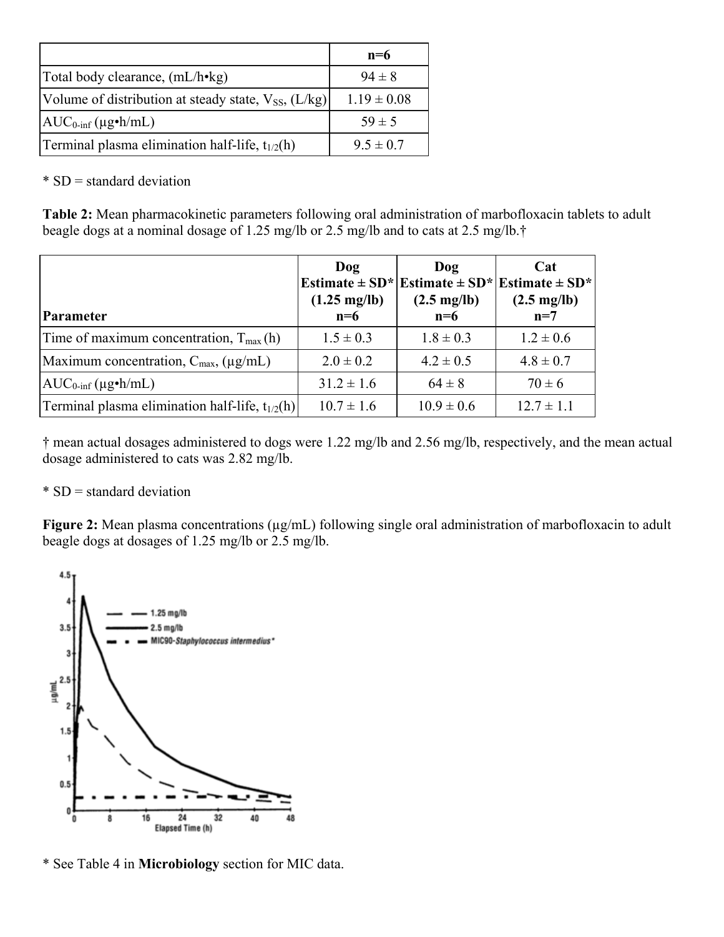|                                                               | $n=6$           |
|---------------------------------------------------------------|-----------------|
| Total body clearance, (mL/h•kg)                               | $94 \pm 8$      |
| Volume of distribution at steady state, $V_{SS}$ , ( $L/kg$ ) | $1.19 \pm 0.08$ |
| $AUC_{0\text{-inf}}(\mu g\cdot h/mL)$                         | $59 \pm 5$      |
| Terminal plasma elimination half-life, $t_{1/2}(h)$           | $9.5 \pm 0.7$   |

 $*$  SD = standard deviation

**Table 2:** Mean pharmacokinetic parameters following oral administration of marbofloxacin tablets to adult beagle dogs at a nominal dosage of 1.25 mg/lb or 2.5 mg/lb and to cats at 2.5 mg/lb.†

| <b>Parameter</b>                                        | Dog<br>$(1.25 \text{ mg/lb})$<br>$n=6$ | Dog<br>Estimate $\pm$ SD* Estimate $\pm$ SD*<br>$(2.5 \text{ mg/lb})$<br>$n=6$ | Cat<br>Estimate $\pm$ SD <sup>*</sup><br>$(2.5 \text{ mg/lb})$<br>$n=7$ |
|---------------------------------------------------------|----------------------------------------|--------------------------------------------------------------------------------|-------------------------------------------------------------------------|
| Time of maximum concentration, $T_{max}(h)$             | $1.5 \pm 0.3$                          | $1.8 \pm 0.3$                                                                  | $1.2 \pm 0.6$                                                           |
| Maximum concentration, $C_{\text{max}}$ , ( $\mu$ g/mL) | $2.0 \pm 0.2$                          | $4.2 \pm 0.5$                                                                  | $4.8 \pm 0.7$                                                           |
| $AUC_{0\text{-inf}}(\mu g\cdot h/mL)$                   | $31.2 \pm 1.6$                         | $64 \pm 8$                                                                     | $70 \pm 6$                                                              |
| Terminal plasma elimination half-life, $t_{1/2}(h)$     | $10.7 \pm 1.6$                         | $10.9 \pm 0.6$                                                                 | $12.7 \pm 1.1$                                                          |

† mean actual dosages administered to dogs were 1.22 mg/lb and 2.56 mg/lb, respectively, and the mean actual dosage administered to cats was 2.82 mg/lb.

## \* SD = standard deviation

**Figure 2:** Mean plasma concentrations ( $\mu$ g/mL) following single oral administration of marbofloxacin to adult beagle dogs at dosages of 1.25 mg/lb or 2.5 mg/lb.



\* See Table 4 in **Microbiology** section for MIC data.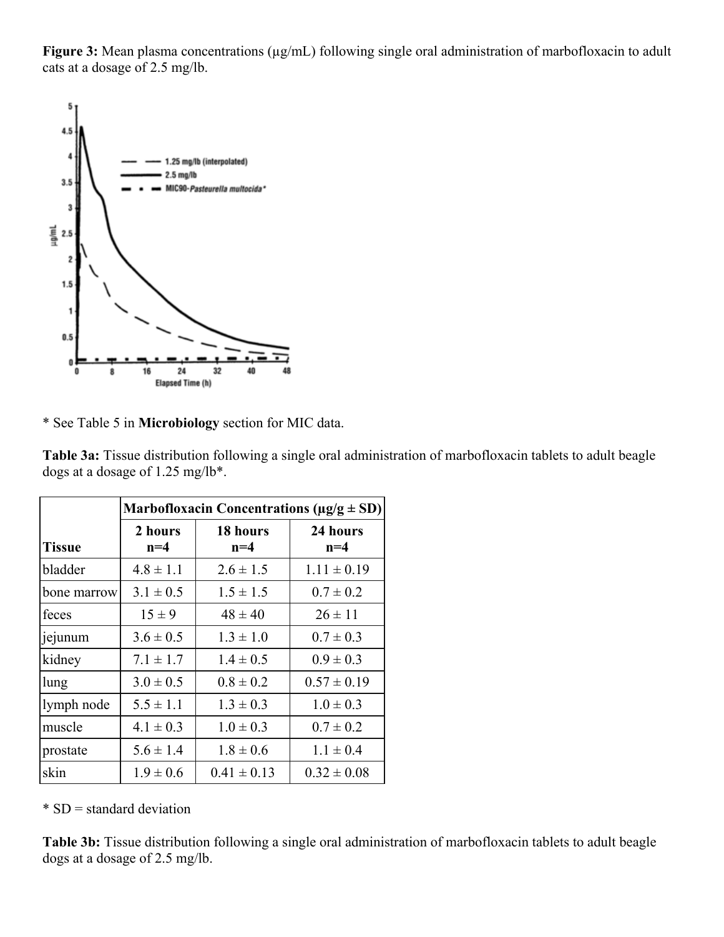Figure 3: Mean plasma concentrations ( $\mu$ g/mL) following single oral administration of marbofloxacin to adult cats at a dosage of 2.5 mg/lb.



\* See Table 5 in **Microbiology** section for MIC data.

|               | Marbofloxacin Concentrations ( $\mu$ g/g $\pm$ SD) |                   |                   |  |
|---------------|----------------------------------------------------|-------------------|-------------------|--|
| <b>Tissue</b> | 2 hours<br>$n=4$                                   | 18 hours<br>$n=4$ | 24 hours<br>$n=4$ |  |
| bladder       | $4.8 \pm 1.1$                                      | $2.6 \pm 1.5$     | $1.11 \pm 0.19$   |  |
| bone marrow   | $3.1 \pm 0.5$                                      | $1.5 \pm 1.5$     | $0.7 \pm 0.2$     |  |
| feces         | $15 \pm 9$                                         | $48 \pm 40$       | $26 \pm 11$       |  |
| jejunum       | $3.6 \pm 0.5$                                      | $1.3 \pm 1.0$     | $0.7 \pm 0.3$     |  |
| kidney        | $7.1 \pm 1.7$                                      | $1.4 \pm 0.5$     | $0.9 \pm 0.3$     |  |
| lung          | $3.0 \pm 0.5$                                      | $0.8 \pm 0.2$     | $0.57 \pm 0.19$   |  |
| lymph node    | $5.5 \pm 1.1$                                      | $1.3 \pm 0.3$     | $1.0 \pm 0.3$     |  |
| muscle        | $4.1 \pm 0.3$                                      | $1.0 \pm 0.3$     | $0.7 \pm 0.2$     |  |
| prostate      | $5.6 \pm 1.4$                                      | $1.8 \pm 0.6$     | $1.1 \pm 0.4$     |  |
| skin          | $1.9 \pm 0.6$                                      | $0.41 \pm 0.13$   | $0.32 \pm 0.08$   |  |

**Table 3a:** Tissue distribution following a single oral administration of marbofloxacin tablets to adult beagle dogs at a dosage of 1.25 mg/lb\*.

 $*$  SD = standard deviation

**Table 3b:** Tissue distribution following a single oral administration of marbofloxacin tablets to adult beagle dogs at a dosage of 2.5 mg/lb.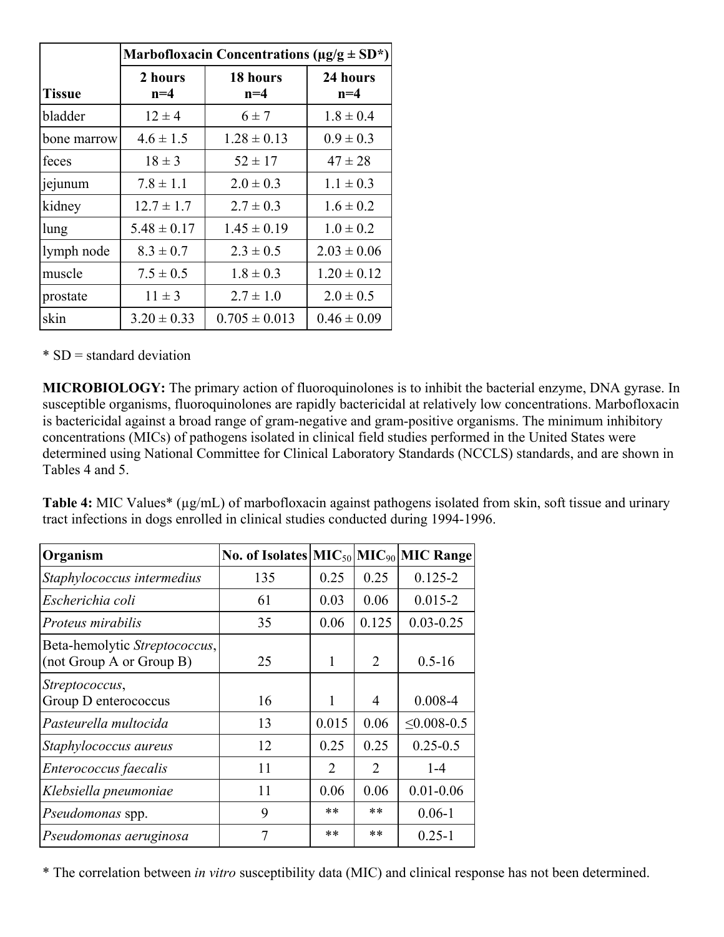|               | Marbofloxacin Concentrations ( $\mu$ g/g $\pm$ SD*) |                   |                   |  |
|---------------|-----------------------------------------------------|-------------------|-------------------|--|
| <b>Tissue</b> | 2 hours<br>$n=4$                                    | 18 hours<br>$n=4$ | 24 hours<br>$n=4$ |  |
| bladder       | $12 \pm 4$                                          | $6 \pm 7$         | $1.8 \pm 0.4$     |  |
| bone marrow   | $4.6 \pm 1.5$                                       | $1.28 \pm 0.13$   | $0.9 \pm 0.3$     |  |
| feces         | $18 \pm 3$                                          | $52 \pm 17$       | $47 \pm 28$       |  |
| jejunum       | $7.8 \pm 1.1$                                       | $2.0 \pm 0.3$     | $1.1 \pm 0.3$     |  |
| kidney        | $12.7 \pm 1.7$                                      | $2.7 \pm 0.3$     | $1.6 \pm 0.2$     |  |
| lung          | $5.48 \pm 0.17$                                     | $1.45 \pm 0.19$   | $1.0 \pm 0.2$     |  |
| lymph node    | $8.3 \pm 0.7$                                       | $2.3 \pm 0.5$     | $2.03 \pm 0.06$   |  |
| muscle        | $7.5 \pm 0.5$                                       | $1.8 \pm 0.3$     | $1.20 \pm 0.12$   |  |
| prostate      | $11 \pm 3$                                          | $2.7 \pm 1.0$     | $2.0 \pm 0.5$     |  |
| skin          | $3.20 \pm 0.33$                                     | $0.705 \pm 0.013$ | $0.46 \pm 0.09$   |  |

\* SD = standard deviation

**MICROBIOLOGY:** The primary action of fluoroquinolones is to inhibit the bacterial enzyme, DNA gyrase. In susceptible organisms, fluoroquinolones are rapidly bactericidal at relatively low concentrations. Marbofloxacin is bactericidal against a broad range of gram-negative and gram-positive organisms. The minimum inhibitory concentrations (MICs) of pathogens isolated in clinical field studies performed in the United States were determined using National Committee for Clinical Laboratory Standards (NCCLS) standards, and are shown in Tables 4 and 5.

**Table 4:** MIC Values\* (µg/mL) of marbofloxacin against pathogens isolated from skin, soft tissue and urinary tract infections in dogs enrolled in clinical studies conducted during 1994-1996.

| Organism                                                  | No. of Isolates $ MIC50 MIC90 MIC Range$ |                               |                |                    |
|-----------------------------------------------------------|------------------------------------------|-------------------------------|----------------|--------------------|
| Staphylococcus intermedius                                | 135                                      | 0.25                          | 0.25           | $0.125 - 2$        |
| Escherichia coli                                          | 61                                       | 0.03                          | 0.06           | $0.015 - 2$        |
| Proteus mirabilis                                         | 35                                       | 0.06                          | 0.125          | $0.03 - 0.25$      |
| Beta-hemolytic Streptococcus,<br>(not Group A or Group B) | 25                                       | 1                             | 2              | $0.5 - 16$         |
| Streptococcus,<br>Group D enterococcus                    | 16                                       | 1                             | 4              | $0.008 - 4$        |
| Pasteurella multocida                                     | 13                                       | 0.015                         | 0.06           | $\leq 0.008 - 0.5$ |
| Staphylococcus aureus                                     | 12                                       | 0.25                          | 0.25           | $0.25 - 0.5$       |
| Enterococcus faecalis                                     | 11                                       | $\mathfrak{D}_{\mathfrak{p}}$ | $\mathfrak{D}$ | $1 - 4$            |
| Klebsiella pneumoniae                                     | 11                                       | 0.06                          | 0.06           | $0.01 - 0.06$      |
| Pseudomonas spp.                                          | 9                                        | **                            | $**$           | $0.06 - 1$         |
| Pseudomonas aeruginosa                                    | 7                                        | $* *$                         | $**$           | $0.25 - 1$         |

\* The correlation between *in vitro* susceptibility data (MIC) and clinical response has not been determined.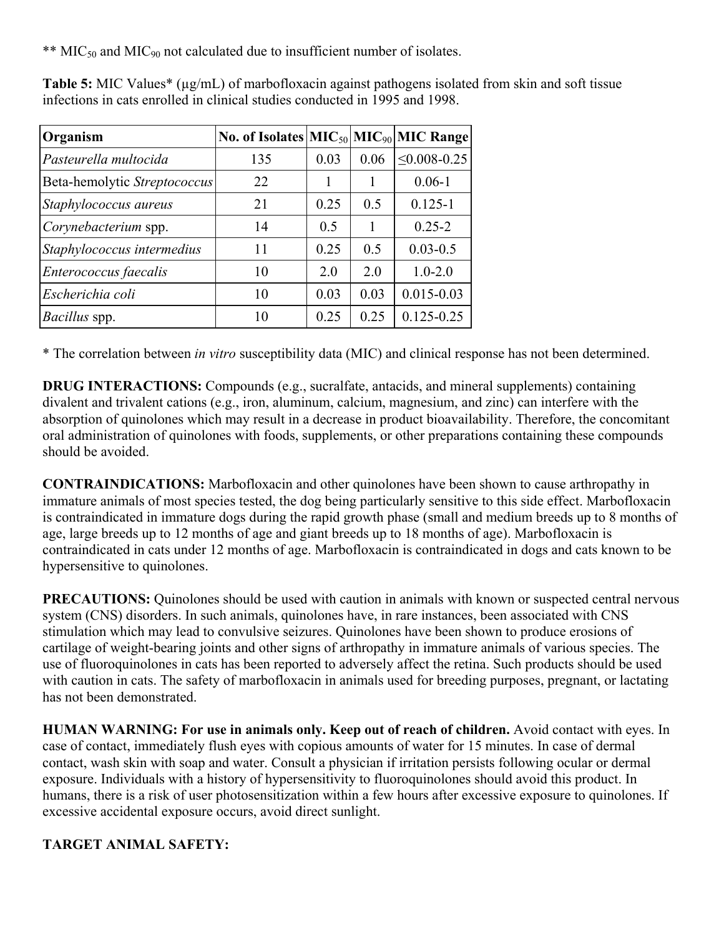\*\* MIC<sub>50</sub> and MIC<sub>90</sub> not calculated due to insufficient number of isolates.

| Organism                     | No. of Isolates $ MIC50 MIC90 MIC Range$ |      |      |                     |
|------------------------------|------------------------------------------|------|------|---------------------|
| Pasteurella multocida        | 135                                      | 0.03 | 0.06 | $\leq 0.008 - 0.25$ |
| Beta-hemolytic Streptococcus | 22                                       |      | 1    | $0.06 - 1$          |
| Staphylococcus aureus        | 21                                       | 0.25 | 0.5  | $0.125 - 1$         |
| Corynebacterium spp.         | 14                                       | 0.5  | 1    | $0.25 - 2$          |
| Staphylococcus intermedius   | 11                                       | 0.25 | 0.5  | $0.03 - 0.5$        |
| Enterococcus faecalis        | 10                                       | 2.0  | 2.0  | $1.0 - 2.0$         |
| Escherichia coli             | 10                                       | 0.03 | 0.03 | $0.015 - 0.03$      |
| Bacillus spp.                | 10                                       | 0.25 | 0.25 | $0.125 - 0.25$      |

**Table 5:** MIC Values<sup>\*</sup> ( $\mu$ g/mL) of marbofloxacin against pathogens isolated from skin and soft tissue infections in cats enrolled in clinical studies conducted in 1995 and 1998.

\* The correlation between *in vitro* susceptibility data (MIC) and clinical response has not been determined.

**DRUG INTERACTIONS:** Compounds (e.g., sucralfate, antacids, and mineral supplements) containing divalent and trivalent cations (e.g., iron, aluminum, calcium, magnesium, and zinc) can interfere with the absorption of quinolones which may result in a decrease in product bioavailability. Therefore, the concomitant oral administration of quinolones with foods, supplements, or other preparations containing these compounds should be avoided.

**CONTRAINDICATIONS:** Marbofloxacin and other quinolones have been shown to cause arthropathy in immature animals of most species tested, the dog being particularly sensitive to this side effect. Marbofloxacin is contraindicated in immature dogs during the rapid growth phase (small and medium breeds up to 8 months of age, large breeds up to 12 months of age and giant breeds up to 18 months of age). Marbofloxacin is contraindicated in cats under 12 months of age. Marbofloxacin is contraindicated in dogs and cats known to be hypersensitive to quinolones.

**PRECAUTIONS:** Ouinolones should be used with caution in animals with known or suspected central nervous system (CNS) disorders. In such animals, quinolones have, in rare instances, been associated with CNS stimulation which may lead to convulsive seizures. Quinolones have been shown to produce erosions of cartilage of weight-bearing joints and other signs of arthropathy in immature animals of various species. The use of fluoroquinolones in cats has been reported to adversely affect the retina. Such products should be used with caution in cats. The safety of marbofloxacin in animals used for breeding purposes, pregnant, or lactating has not been demonstrated.

**HUMAN WARNING: For use in animals only. Keep out of reach of children.** Avoid contact with eyes. In case of contact, immediately flush eyes with copious amounts of water for 15 minutes. In case of dermal contact, wash skin with soap and water. Consult a physician if irritation persists following ocular or dermal exposure. Individuals with a history of hypersensitivity to fluoroquinolones should avoid this product. In humans, there is a risk of user photosensitization within a few hours after excessive exposure to quinolones. If excessive accidental exposure occurs, avoid direct sunlight.

## **TARGET ANIMAL SAFETY:**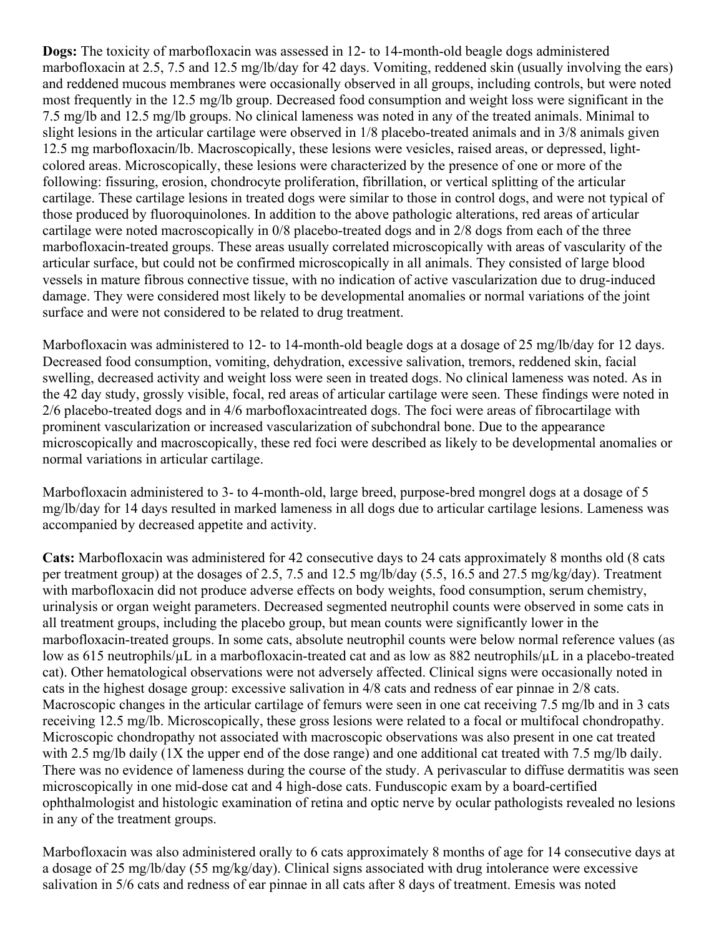**Dogs:** The toxicity of marbofloxacin was assessed in 12- to 14-month-old beagle dogs administered marbofloxacin at 2.5, 7.5 and 12.5 mg/lb/day for 42 days. Vomiting, reddened skin (usually involving the ears) and reddened mucous membranes were occasionally observed in all groups, including controls, but were noted most frequently in the 12.5 mg/lb group. Decreased food consumption and weight loss were significant in the 7.5 mg/lb and 12.5 mg/lb groups. No clinical lameness was noted in any of the treated animals. Minimal to slight lesions in the articular cartilage were observed in 1/8 placebo-treated animals and in 3/8 animals given 12.5 mg marbofloxacin/lb. Macroscopically, these lesions were vesicles, raised areas, or depressed, lightcolored areas. Microscopically, these lesions were characterized by the presence of one or more of the following: fissuring, erosion, chondrocyte proliferation, fibrillation, or vertical splitting of the articular cartilage. These cartilage lesions in treated dogs were similar to those in control dogs, and were not typical of those produced by fluoroquinolones. In addition to the above pathologic alterations, red areas of articular cartilage were noted macroscopically in 0/8 placebo-treated dogs and in 2/8 dogs from each of the three marbofloxacin-treated groups. These areas usually correlated microscopically with areas of vascularity of the articular surface, but could not be confirmed microscopically in all animals. They consisted of large blood vessels in mature fibrous connective tissue, with no indication of active vascularization due to drug-induced damage. They were considered most likely to be developmental anomalies or normal variations of the joint surface and were not considered to be related to drug treatment.

Marbofloxacin was administered to 12- to 14-month-old beagle dogs at a dosage of 25 mg/lb/day for 12 days. Decreased food consumption, vomiting, dehydration, excessive salivation, tremors, reddened skin, facial swelling, decreased activity and weight loss were seen in treated dogs. No clinical lameness was noted. As in the 42 day study, grossly visible, focal, red areas of articular cartilage were seen. These findings were noted in 2/6 placebo-treated dogs and in 4/6 marbofloxacintreated dogs. The foci were areas of fibrocartilage with prominent vascularization or increased vascularization of subchondral bone. Due to the appearance microscopically and macroscopically, these red foci were described as likely to be developmental anomalies or normal variations in articular cartilage.

Marbofloxacin administered to 3- to 4-month-old, large breed, purpose-bred mongrel dogs at a dosage of 5 mg/lb/day for 14 days resulted in marked lameness in all dogs due to articular cartilage lesions. Lameness was accompanied by decreased appetite and activity.

**Cats:** Marbofloxacin was administered for 42 consecutive days to 24 cats approximately 8 months old (8 cats per treatment group) at the dosages of 2.5, 7.5 and 12.5 mg/lb/day (5.5, 16.5 and 27.5 mg/kg/day). Treatment with marbofloxacin did not produce adverse effects on body weights, food consumption, serum chemistry, urinalysis or organ weight parameters. Decreased segmented neutrophil counts were observed in some cats in all treatment groups, including the placebo group, but mean counts were significantly lower in the marbofloxacin-treated groups. In some cats, absolute neutrophil counts were below normal reference values (as low as 615 neutrophils/µL in a marbofloxacin-treated cat and as low as 882 neutrophils/µL in a placebo-treated cat). Other hematological observations were not adversely affected. Clinical signs were occasionally noted in cats in the highest dosage group: excessive salivation in 4/8 cats and redness of ear pinnae in 2/8 cats. Macroscopic changes in the articular cartilage of femurs were seen in one cat receiving 7.5 mg/lb and in 3 cats receiving 12.5 mg/lb. Microscopically, these gross lesions were related to a focal or multifocal chondropathy. Microscopic chondropathy not associated with macroscopic observations was also present in one cat treated with 2.5 mg/lb daily (1X the upper end of the dose range) and one additional cat treated with 7.5 mg/lb daily. There was no evidence of lameness during the course of the study. A perivascular to diffuse dermatitis was seen microscopically in one mid-dose cat and 4 high-dose cats. Funduscopic exam by a board-certified ophthalmologist and histologic examination of retina and optic nerve by ocular pathologists revealed no lesions in any of the treatment groups.

Marbofloxacin was also administered orally to 6 cats approximately 8 months of age for 14 consecutive days at a dosage of 25 mg/lb/day (55 mg/kg/day). Clinical signs associated with drug intolerance were excessive salivation in 5/6 cats and redness of ear pinnae in all cats after 8 days of treatment. Emesis was noted